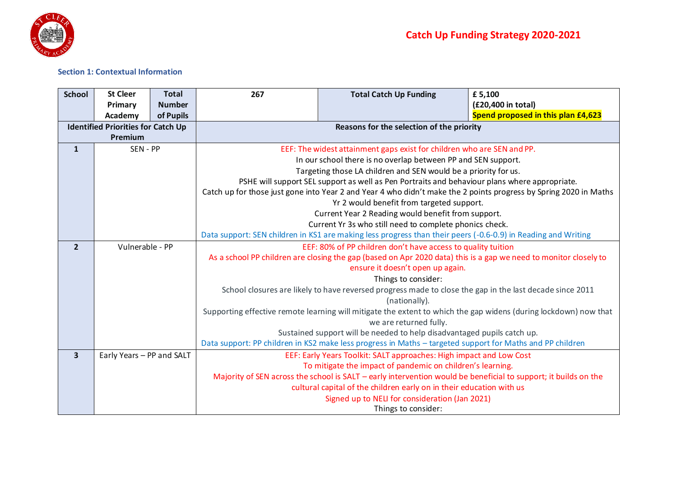

## **Section 1: Contextual Information**

| <b>School</b>           | <b>St Cleer</b>                           | <b>Total</b>  | 267                                                                                                               | <b>Total Catch Up Funding</b>                                                                                    | £5,100                             |  |  |  |  |  |
|-------------------------|-------------------------------------------|---------------|-------------------------------------------------------------------------------------------------------------------|------------------------------------------------------------------------------------------------------------------|------------------------------------|--|--|--|--|--|
|                         | Primary                                   | <b>Number</b> |                                                                                                                   |                                                                                                                  | (£20,400 in total)                 |  |  |  |  |  |
|                         | <b>Academy</b>                            | of Pupils     |                                                                                                                   |                                                                                                                  | Spend proposed in this plan £4,623 |  |  |  |  |  |
|                         | <b>Identified Priorities for Catch Up</b> |               |                                                                                                                   | Reasons for the selection of the priority                                                                        |                                    |  |  |  |  |  |
|                         | Premium                                   |               |                                                                                                                   |                                                                                                                  |                                    |  |  |  |  |  |
| $\mathbf{1}$            | SEN - PP                                  |               | EEF: The widest attainment gaps exist for children who are SEN and PP.                                            |                                                                                                                  |                                    |  |  |  |  |  |
|                         |                                           |               | In our school there is no overlap between PP and SEN support.                                                     |                                                                                                                  |                                    |  |  |  |  |  |
|                         |                                           |               |                                                                                                                   | Targeting those LA children and SEN would be a priority for us.                                                  |                                    |  |  |  |  |  |
|                         |                                           |               |                                                                                                                   | PSHE will support SEL support as well as Pen Portraits and behaviour plans where appropriate.                    |                                    |  |  |  |  |  |
|                         |                                           |               | Catch up for those just gone into Year 2 and Year 4 who didn't make the 2 points progress by Spring 2020 in Maths |                                                                                                                  |                                    |  |  |  |  |  |
|                         |                                           |               | Yr 2 would benefit from targeted support.                                                                         |                                                                                                                  |                                    |  |  |  |  |  |
|                         |                                           |               | Current Year 2 Reading would benefit from support.                                                                |                                                                                                                  |                                    |  |  |  |  |  |
|                         |                                           |               | Current Yr 3s who still need to complete phonics check.                                                           |                                                                                                                  |                                    |  |  |  |  |  |
|                         |                                           |               |                                                                                                                   | Data support: SEN children in KS1 are making less progress than their peers (-0.6-0.9) in Reading and Writing    |                                    |  |  |  |  |  |
| $\overline{2}$          | Vulnerable - PP                           |               | EEF: 80% of PP children don't have access to quality tuition                                                      |                                                                                                                  |                                    |  |  |  |  |  |
|                         |                                           |               |                                                                                                                   | As a school PP children are closing the gap (based on Apr 2020 data) this is a gap we need to monitor closely to |                                    |  |  |  |  |  |
|                         |                                           |               |                                                                                                                   | ensure it doesn't open up again.                                                                                 |                                    |  |  |  |  |  |
|                         |                                           |               |                                                                                                                   | Things to consider:                                                                                              |                                    |  |  |  |  |  |
|                         |                                           |               |                                                                                                                   | School closures are likely to have reversed progress made to close the gap in the last decade since 2011         |                                    |  |  |  |  |  |
|                         |                                           |               |                                                                                                                   | (nationally).                                                                                                    |                                    |  |  |  |  |  |
|                         |                                           |               |                                                                                                                   | Supporting effective remote learning will mitigate the extent to which the gap widens (during lockdown) now that |                                    |  |  |  |  |  |
|                         |                                           |               |                                                                                                                   | we are returned fully.                                                                                           |                                    |  |  |  |  |  |
|                         |                                           |               |                                                                                                                   | Sustained support will be needed to help disadvantaged pupils catch up.                                          |                                    |  |  |  |  |  |
|                         |                                           |               |                                                                                                                   | Data support: PP children in KS2 make less progress in Maths - targeted support for Maths and PP children        |                                    |  |  |  |  |  |
| $\overline{\mathbf{3}}$ | Early Years - PP and SALT                 |               |                                                                                                                   | EEF: Early Years Toolkit: SALT approaches: High impact and Low Cost                                              |                                    |  |  |  |  |  |
|                         |                                           |               |                                                                                                                   | To mitigate the impact of pandemic on children's learning.                                                       |                                    |  |  |  |  |  |
|                         |                                           |               | Majority of SEN across the school is SALT – early intervention would be beneficial to support; it builds on the   |                                                                                                                  |                                    |  |  |  |  |  |
|                         |                                           |               |                                                                                                                   | cultural capital of the children early on in their education with us                                             |                                    |  |  |  |  |  |
|                         |                                           |               |                                                                                                                   | Signed up to NELI for consideration (Jan 2021)                                                                   |                                    |  |  |  |  |  |
|                         |                                           |               |                                                                                                                   | Things to consider:                                                                                              |                                    |  |  |  |  |  |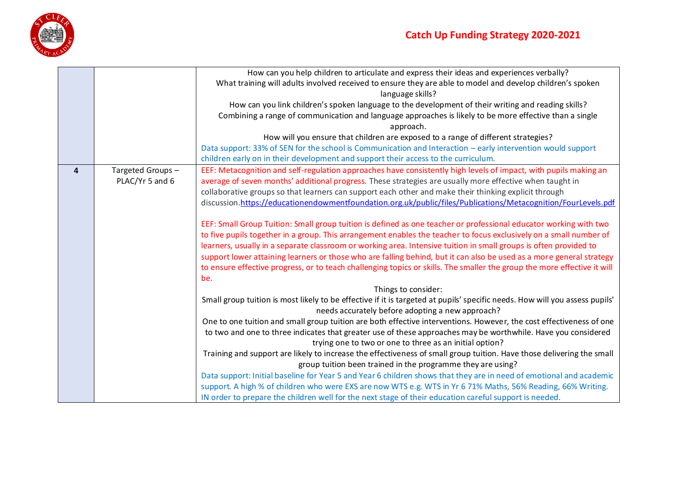

|                         |                  | How can you help children to articulate and express their ideas and experiences verbally?                                                                                       |
|-------------------------|------------------|---------------------------------------------------------------------------------------------------------------------------------------------------------------------------------|
|                         |                  | What training will adults involved received to ensure they are able to model and develop children's spoken<br>language skills?                                                  |
|                         |                  | How can you link children's spoken language to the development of their writing and reading skills?                                                                             |
|                         |                  | Combining a range of communication and language approaches is likely to be more effective than a single<br>approach.                                                            |
|                         |                  | How will you ensure that children are exposed to a range of different strategies?                                                                                               |
|                         |                  | Data support: 33% of SEN for the school is Communication and Interaction – early intervention would support                                                                     |
|                         |                  | children early on in their development and support their access to the curriculum.                                                                                              |
| $\overline{\mathbf{4}}$ | Targeted Groups- | EEF: Metacognition and self-regulation approaches have consistently high levels of impact, with pupils making an                                                                |
|                         | PLAC/Yr 5 and 6  | average of seven months' additional progress. These strategies are usually more effective when taught in                                                                        |
|                         |                  | collaborative groups so that learners can support each other and make their thinking explicit through                                                                           |
|                         |                  | discussion.https://educationendowmentfoundation.org.uk/public/files/Publications/Metacognition/FourLevels.pdf                                                                   |
|                         |                  | EEF: Small Group Tuition: Small group tuition is defined as one teacher or professional educator working with two                                                               |
|                         |                  | to five pupils together in a group. This arrangement enables the teacher to focus exclusively on a small number of                                                              |
|                         |                  | learners, usually in a separate classroom or working area. Intensive tuition in small groups is often provided to                                                               |
|                         |                  | support lower attaining learners or those who are falling behind, but it can also be used as a more general strategy                                                            |
|                         |                  | to ensure effective progress, or to teach challenging topics or skills. The smaller the group the more effective it will                                                        |
|                         |                  | be.                                                                                                                                                                             |
|                         |                  | Things to consider:                                                                                                                                                             |
|                         |                  | Small group tuition is most likely to be effective if it is targeted at pupils' specific needs. How will you assess pupils'<br>needs accurately before adopting a new approach? |
|                         |                  | One to one tuition and small group tuition are both effective interventions. However, the cost effectiveness of one                                                             |
|                         |                  | to two and one to three indicates that greater use of these approaches may be worthwhile. Have you considered                                                                   |
|                         |                  | trying one to two or one to three as an initial option?                                                                                                                         |
|                         |                  | Training and support are likely to increase the effectiveness of small group tuition. Have those delivering the small                                                           |
|                         |                  | group tuition been trained in the programme they are using?                                                                                                                     |
|                         |                  | Data support: Initial baseline for Year 5 and Year 6 children shows that they are in need of emotional and academic                                                             |
|                         |                  | support. A high % of children who were EXS are now WTS e.g. WTS in Yr 6 71% Maths, 56% Reading, 66% Writing.                                                                    |
|                         |                  | IN order to prepare the children well for the next stage of their education careful support is needed.                                                                          |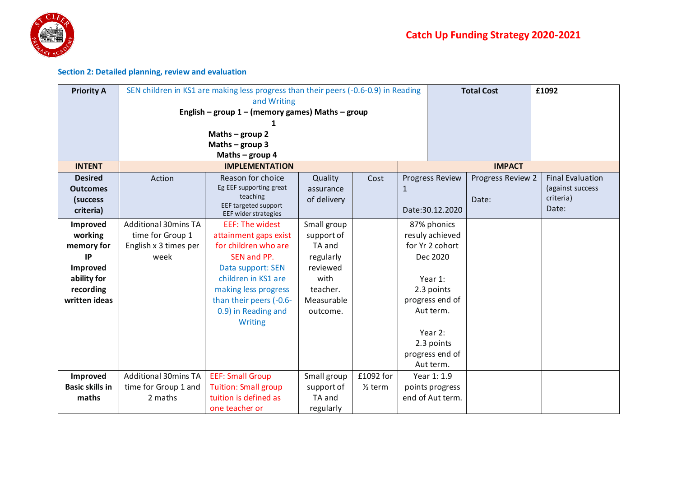

## **Section 2: Detailed planning, review and evaluation**

| <b>Priority A</b>      | SEN children in KS1 are making less progress than their peers (-0.6-0.9) in Reading<br><b>Total Cost</b> |                                                    |             |                    |                        |                  |                   | £1092                   |
|------------------------|----------------------------------------------------------------------------------------------------------|----------------------------------------------------|-------------|--------------------|------------------------|------------------|-------------------|-------------------------|
|                        |                                                                                                          | and Writing                                        |             |                    |                        |                  |                   |                         |
|                        |                                                                                                          | English – group $1$ – (memory games) Maths – group |             |                    |                        |                  |                   |                         |
|                        |                                                                                                          |                                                    |             |                    |                        |                  |                   |                         |
|                        |                                                                                                          | Maths $-$ group 2                                  |             |                    |                        |                  |                   |                         |
|                        |                                                                                                          | Maths $-$ group 3                                  |             |                    |                        |                  |                   |                         |
|                        |                                                                                                          | Maths - group 4                                    |             |                    |                        |                  |                   |                         |
| <b>INTENT</b>          |                                                                                                          | <b>IMPLEMENTATION</b>                              |             |                    |                        |                  | <b>IMPACT</b>     |                         |
| <b>Desired</b>         | Action                                                                                                   | Reason for choice                                  | Quality     | Cost               | <b>Progress Review</b> |                  | Progress Review 2 | <b>Final Evaluation</b> |
| <b>Outcomes</b>        |                                                                                                          | Eg EEF supporting great                            | assurance   |                    | 1                      |                  |                   | (against success        |
| (success               |                                                                                                          | teaching<br>EEF targeted support                   | of delivery |                    |                        |                  | Date:             | criteria)               |
| criteria)              |                                                                                                          | EEF wider strategies                               |             |                    | Date: 30.12.2020       |                  |                   | Date:                   |
| Improved               | <b>Additional 30mins TA</b>                                                                              | <b>EEF: The widest</b>                             | Small group |                    | 87% phonics            |                  |                   |                         |
| working                | time for Group 1                                                                                         | attainment gaps exist                              | support of  |                    | resuly achieved        |                  |                   |                         |
| memory for             | English x 3 times per                                                                                    | for children who are                               | TA and      |                    |                        | for Yr 2 cohort  |                   |                         |
| IP                     | week                                                                                                     | SEN and PP.                                        | regularly   |                    |                        | Dec 2020         |                   |                         |
| Improved               |                                                                                                          | Data support: SEN                                  | reviewed    |                    |                        |                  |                   |                         |
| ability for            |                                                                                                          | children in KS1 are                                | with        |                    |                        | Year 1:          |                   |                         |
| recording              |                                                                                                          | making less progress                               | teacher.    |                    |                        | 2.3 points       |                   |                         |
| written ideas          |                                                                                                          | than their peers (-0.6-                            | Measurable  |                    |                        | progress end of  |                   |                         |
|                        |                                                                                                          | 0.9) in Reading and                                | outcome.    |                    |                        | Aut term.        |                   |                         |
|                        |                                                                                                          | Writing                                            |             |                    |                        |                  |                   |                         |
|                        |                                                                                                          |                                                    |             |                    |                        | Year 2:          |                   |                         |
|                        |                                                                                                          |                                                    |             |                    |                        | 2.3 points       |                   |                         |
|                        |                                                                                                          |                                                    |             |                    |                        | progress end of  |                   |                         |
|                        |                                                                                                          |                                                    |             |                    |                        | Aut term.        |                   |                         |
| Improved               | <b>Additional 30mins TA</b>                                                                              | <b>EEF: Small Group</b>                            | Small group | £1092 for          |                        | Year 1: 1.9      |                   |                         |
| <b>Basic skills in</b> | time for Group 1 and                                                                                     | <b>Tuition: Small group</b>                        | support of  | $\frac{1}{2}$ term |                        | points progress  |                   |                         |
| maths                  | 2 maths                                                                                                  | tuition is defined as                              | TA and      |                    |                        | end of Aut term. |                   |                         |
|                        |                                                                                                          | one teacher or                                     | regularly   |                    |                        |                  |                   |                         |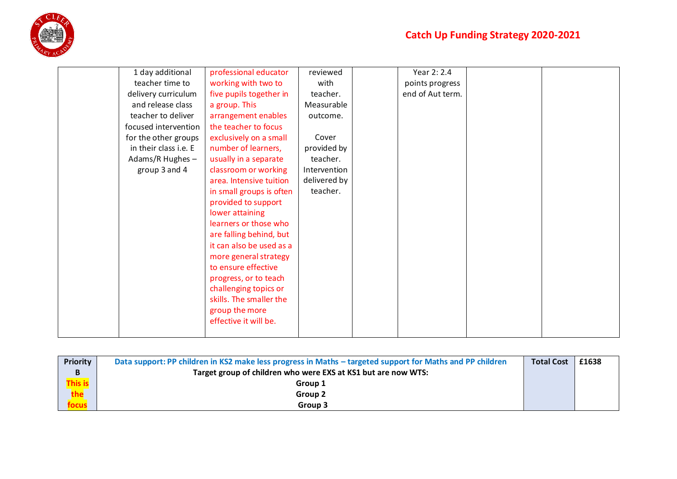

| 1 day additional      | professional educator    | reviewed     | Year 2: 2.4      |  |
|-----------------------|--------------------------|--------------|------------------|--|
| teacher time to       | working with two to      | with         | points progress  |  |
| delivery curriculum   | five pupils together in  | teacher.     | end of Aut term. |  |
| and release class     | a group. This            | Measurable   |                  |  |
| teacher to deliver    | arrangement enables      | outcome.     |                  |  |
| focused intervention  | the teacher to focus     |              |                  |  |
| for the other groups  | exclusively on a small   | Cover        |                  |  |
| in their class i.e. E | number of learners,      | provided by  |                  |  |
| Adams/R Hughes -      | usually in a separate    | teacher.     |                  |  |
| group 3 and 4         | classroom or working     | Intervention |                  |  |
|                       | area. Intensive tuition  | delivered by |                  |  |
|                       | in small groups is often | teacher.     |                  |  |
|                       | provided to support      |              |                  |  |
|                       | lower attaining          |              |                  |  |
|                       | learners or those who    |              |                  |  |
|                       | are falling behind, but  |              |                  |  |
|                       | it can also be used as a |              |                  |  |
|                       | more general strategy    |              |                  |  |
|                       | to ensure effective      |              |                  |  |
|                       | progress, or to teach    |              |                  |  |
|                       | challenging topics or    |              |                  |  |
|                       | skills. The smaller the  |              |                  |  |
|                       | group the more           |              |                  |  |
|                       | effective it will be.    |              |                  |  |
|                       |                          |              |                  |  |
|                       |                          |              |                  |  |

| Priority | Data support: PP children in KS2 make less progress in Maths – targeted support for Maths and PP children | <b>Total Cost</b> | £1638 |
|----------|-----------------------------------------------------------------------------------------------------------|-------------------|-------|
|          | Target group of children who were EXS at KS1 but are now WTS:                                             |                   |       |
| his is   | Group 1                                                                                                   |                   |       |
|          | Group 2                                                                                                   |                   |       |
|          | Group 3                                                                                                   |                   |       |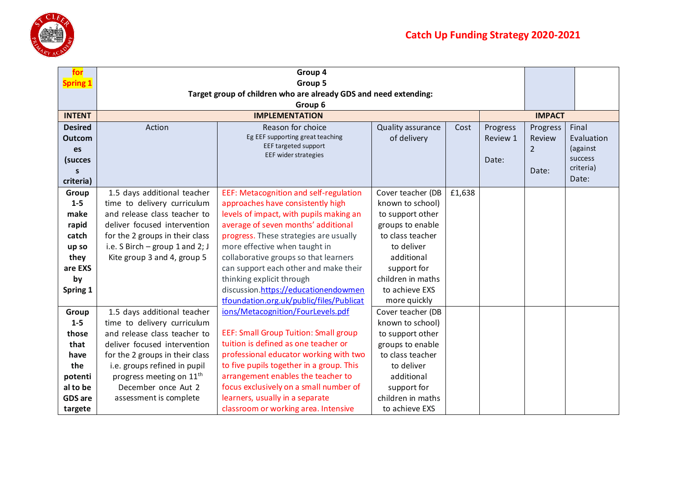

| for             |                                      | Group 4                                                                      |                   |        |          |                |                      |  |
|-----------------|--------------------------------------|------------------------------------------------------------------------------|-------------------|--------|----------|----------------|----------------------|--|
| <b>Spring 1</b> |                                      | Group 5                                                                      |                   |        |          |                |                      |  |
|                 |                                      | Target group of children who are already GDS and need extending:             |                   |        |          |                |                      |  |
|                 |                                      | Group 6                                                                      |                   |        |          |                |                      |  |
| <b>INTENT</b>   |                                      | <b>IMPLEMENTATION</b>                                                        |                   |        |          | <b>IMPACT</b>  |                      |  |
| <b>Desired</b>  | Action                               | Reason for choice                                                            | Quality assurance | Cost   | Progress | Progress       | Final                |  |
| <b>Outcom</b>   |                                      | Eg EEF supporting great teaching<br>EEF targeted support                     | of delivery       |        | Review 1 | Review         | Evaluation           |  |
| es              |                                      | EEF wider strategies                                                         |                   |        |          | $\overline{2}$ | (against             |  |
| (succes         |                                      |                                                                              |                   |        | Date:    |                | success<br>criteria) |  |
| S               |                                      |                                                                              |                   |        |          | Date:          | Date:                |  |
| criteria)       |                                      |                                                                              |                   |        |          |                |                      |  |
| Group           | 1.5 days additional teacher          | EEF: Metacognition and self-regulation                                       | Cover teacher (DB | £1,638 |          |                |                      |  |
| $1 - 5$         | time to delivery curriculum          | approaches have consistently high                                            | known to school)  |        |          |                |                      |  |
| make            | and release class teacher to         | levels of impact, with pupils making an                                      | to support other  |        |          |                |                      |  |
| rapid           | deliver focused intervention         | average of seven months' additional                                          | groups to enable  |        |          |                |                      |  |
| catch           | for the 2 groups in their class      | progress. These strategies are usually                                       | to class teacher  |        |          |                |                      |  |
| up so           | i.e. S Birch $-$ group 1 and 2; J    | more effective when taught in                                                | to deliver        |        |          |                |                      |  |
| they            | Kite group 3 and 4, group 5          | collaborative groups so that learners                                        | additional        |        |          |                |                      |  |
| are EXS         |                                      | can support each other and make their                                        | support for       |        |          |                |                      |  |
| by              |                                      | thinking explicit through                                                    | children in maths |        |          |                |                      |  |
| Spring 1        |                                      | discussion.https://educationendowmen                                         | to achieve EXS    |        |          |                |                      |  |
|                 |                                      | tfoundation.org.uk/public/files/Publicat                                     | more quickly      |        |          |                |                      |  |
| Group           | 1.5 days additional teacher          | ions/Metacognition/FourLevels.pdf                                            | Cover teacher (DB |        |          |                |                      |  |
| $1 - 5$         | time to delivery curriculum          |                                                                              | known to school)  |        |          |                |                      |  |
| those           | and release class teacher to         | <b>EEF: Small Group Tuition: Small group</b>                                 | to support other  |        |          |                |                      |  |
| that            | deliver focused intervention         | tuition is defined as one teacher or                                         | groups to enable  |        |          |                |                      |  |
| have            | for the 2 groups in their class      | professional educator working with two                                       | to class teacher  |        |          |                |                      |  |
| the             | i.e. groups refined in pupil         | to five pupils together in a group. This                                     | to deliver        |        |          |                |                      |  |
| potenti         | progress meeting on 11 <sup>th</sup> | arrangement enables the teacher to<br>focus exclusively on a small number of | additional        |        |          |                |                      |  |
| al to be        | December once Aut 2                  | support for                                                                  |                   |        |          |                |                      |  |
| <b>GDS</b> are  | assessment is complete               | learners, usually in a separate                                              | children in maths |        |          |                |                      |  |
| targete         |                                      | classroom or working area. Intensive                                         | to achieve EXS    |        |          |                |                      |  |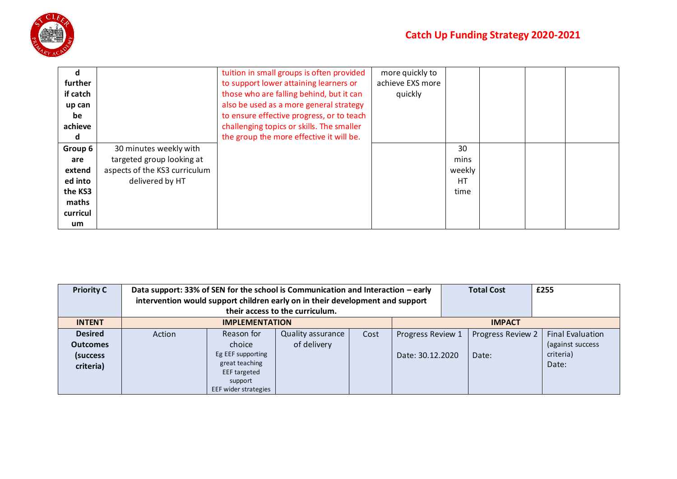

| d        |                               | tuition in small groups is often provided | more quickly to  |           |  |  |
|----------|-------------------------------|-------------------------------------------|------------------|-----------|--|--|
| further  |                               | to support lower attaining learners or    | achieve EXS more |           |  |  |
| if catch |                               | those who are falling behind, but it can  | quickly          |           |  |  |
| up can   |                               | also be used as a more general strategy   |                  |           |  |  |
| be       |                               | to ensure effective progress, or to teach |                  |           |  |  |
| achieve  |                               | challenging topics or skills. The smaller |                  |           |  |  |
| d        |                               | the group the more effective it will be.  |                  |           |  |  |
| Group 6  | 30 minutes weekly with        |                                           |                  | 30        |  |  |
| are      | targeted group looking at     |                                           |                  | mins      |  |  |
| extend   | aspects of the KS3 curriculum |                                           |                  | weekly    |  |  |
| ed into  | delivered by HT               |                                           |                  | <b>HT</b> |  |  |
| the KS3  |                               |                                           |                  | time      |  |  |
| maths    |                               |                                           |                  |           |  |  |
| curricul |                               |                                           |                  |           |  |  |
| um       |                               |                                           |                  |           |  |  |

| <b>Priority C</b>                                           | Data support: 33% of SEN for the school is Communication and Interaction – early<br>intervention would support children early on in their development and support | their access to the curriculum.                                                                                |                                         | <b>Total Cost</b> | £255                                  |  |                            |                                                                   |  |
|-------------------------------------------------------------|-------------------------------------------------------------------------------------------------------------------------------------------------------------------|----------------------------------------------------------------------------------------------------------------|-----------------------------------------|-------------------|---------------------------------------|--|----------------------------|-------------------------------------------------------------------|--|
| <b>INTENT</b>                                               |                                                                                                                                                                   | <b>IMPLEMENTATION</b>                                                                                          |                                         |                   | <b>IMPACT</b>                         |  |                            |                                                                   |  |
| <b>Desired</b><br><b>Outcomes</b><br>(success)<br>criteria) | Action                                                                                                                                                            | Reason for<br>choice<br>Eg EEF supporting<br>great teaching<br>EEF targeted<br>support<br>EEF wider strategies | <b>Quality assurance</b><br>of delivery | Cost              | Progress Review 1<br>Date: 30.12.2020 |  | Progress Review 2<br>Date: | <b>Final Evaluation</b><br>(against success<br>criteria)<br>Date: |  |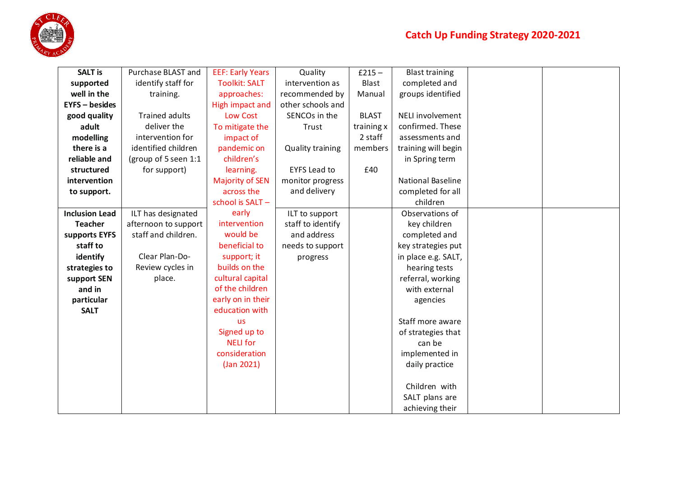

| <b>SALT is</b>        | Purchase BLAST and    | <b>EEF: Early Years</b> | Quality                 | $£215 -$     | <b>Blast training</b>    |  |
|-----------------------|-----------------------|-------------------------|-------------------------|--------------|--------------------------|--|
|                       |                       |                         |                         |              |                          |  |
| supported             | identify staff for    | <b>Toolkit: SALT</b>    | intervention as         | Blast        | completed and            |  |
| well in the           | training.             | approaches:             | recommended by          | Manual       | groups identified        |  |
| <b>EYFS - besides</b> |                       | High impact and         | other schools and       |              |                          |  |
| good quality          | <b>Trained adults</b> | Low Cost                | SENCOs in the           | <b>BLAST</b> | NELI involvement         |  |
| adult                 | deliver the           | To mitigate the         | Trust                   | training x   | confirmed. These         |  |
| modelling             | intervention for      | impact of               |                         | 2 staff      | assessments and          |  |
| there is a            | identified children   | pandemic on             | <b>Quality training</b> | members      | training will begin      |  |
| reliable and          | (group of 5 seen 1:1  | children's              |                         |              | in Spring term           |  |
| structured            | for support)          | learning.               | <b>EYFS Lead to</b>     | £40          |                          |  |
| intervention          |                       | <b>Majority of SEN</b>  | monitor progress        |              | <b>National Baseline</b> |  |
| to support.           |                       | across the              | and delivery            |              | completed for all        |  |
|                       |                       | school is SALT-         |                         |              | children                 |  |
| <b>Inclusion Lead</b> | ILT has designated    | early                   | ILT to support          |              | Observations of          |  |
| <b>Teacher</b>        | afternoon to support  | intervention            | staff to identify       |              | key children             |  |
| supports EYFS         | staff and children.   | would be                | and address             |              | completed and            |  |
| staff to              |                       | beneficial to           | needs to support        |              | key strategies put       |  |
| identify              | Clear Plan-Do-        | support; it             | progress                |              | in place e.g. SALT,      |  |
| strategies to         | Review cycles in      | builds on the           |                         |              | hearing tests            |  |
| support SEN           | place.                | cultural capital        |                         |              | referral, working        |  |
| and in                |                       | of the children         |                         |              | with external            |  |
| particular            |                       | early on in their       |                         |              | agencies                 |  |
| <b>SALT</b>           |                       | education with          |                         |              |                          |  |
|                       |                       | <b>us</b>               |                         |              | Staff more aware         |  |
|                       |                       | Signed up to            |                         |              | of strategies that       |  |
|                       |                       | <b>NELI</b> for         |                         |              | can be                   |  |
|                       |                       | consideration           |                         |              | implemented in           |  |
|                       |                       | (Jan 2021)              |                         |              | daily practice           |  |
|                       |                       |                         |                         |              |                          |  |
|                       |                       |                         |                         |              | Children with            |  |
|                       |                       |                         |                         |              | SALT plans are           |  |
|                       |                       |                         |                         |              | achieving their          |  |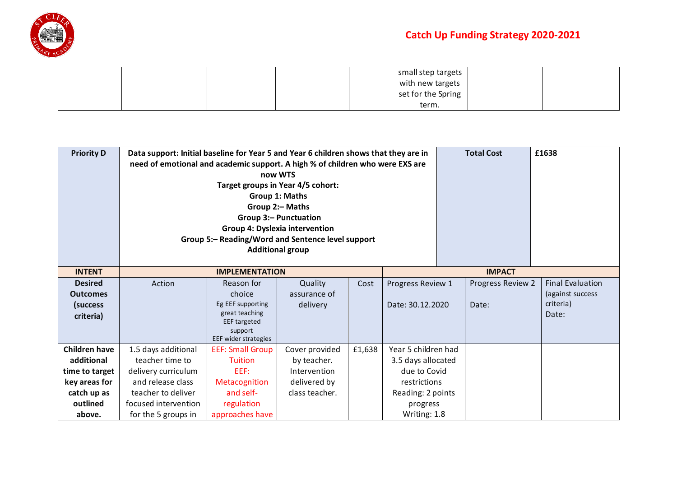

|  |  | small step targets l |  |
|--|--|----------------------|--|
|  |  | with new targets     |  |
|  |  | set for the Spring   |  |
|  |  | term.                |  |

| <b>Priority D</b>                                                                                          | Data support: Initial baseline for Year 5 and Year 6 children shows that they are in<br>need of emotional and academic support. A high % of children who were EXS are | now WTS<br>Target groups in Year 4/5 cohort:<br>Group 1: Maths<br>Group 2:- Maths<br><b>Group 3:- Punctuation</b><br>Group 4: Dyslexia intervention<br>Group 5:- Reading/Word and Sentence level support<br><b>Additional group</b> |                                                                                 | <b>Total Cost</b> | £1638                                                                                                                      |                            |               |                                                                   |
|------------------------------------------------------------------------------------------------------------|-----------------------------------------------------------------------------------------------------------------------------------------------------------------------|-------------------------------------------------------------------------------------------------------------------------------------------------------------------------------------------------------------------------------------|---------------------------------------------------------------------------------|-------------------|----------------------------------------------------------------------------------------------------------------------------|----------------------------|---------------|-------------------------------------------------------------------|
| <b>INTENT</b>                                                                                              |                                                                                                                                                                       | <b>IMPLEMENTATION</b>                                                                                                                                                                                                               |                                                                                 |                   |                                                                                                                            |                            | <b>IMPACT</b> |                                                                   |
| <b>Desired</b><br><b>Outcomes</b><br>(success<br>criteria)                                                 | Action                                                                                                                                                                | Reason for<br>choice<br>Eg EEF supporting<br>great teaching<br><b>EEF</b> targeted<br>support<br>EEF wider strategies                                                                                                               | Quality<br>assurance of<br>delivery                                             | Cost              | Progress Review 1<br>Date: 30.12.2020                                                                                      | Progress Review 2<br>Date: |               | <b>Final Evaluation</b><br>(against success<br>criteria)<br>Date: |
| <b>Children have</b><br>additional<br>time to target<br>key areas for<br>catch up as<br>outlined<br>above. | 1.5 days additional<br>teacher time to<br>delivery curriculum<br>and release class<br>teacher to deliver<br>focused intervention<br>for the 5 groups in               | <b>EEF: Small Group</b><br><b>Tuition</b><br>EEF:<br>Metacognition<br>and self-<br>regulation<br>approaches have                                                                                                                    | Cover provided<br>by teacher.<br>Intervention<br>delivered by<br>class teacher. | £1,638            | Year 5 children had<br>3.5 days allocated<br>due to Covid<br>restrictions<br>Reading: 2 points<br>progress<br>Writing: 1.8 |                            |               |                                                                   |